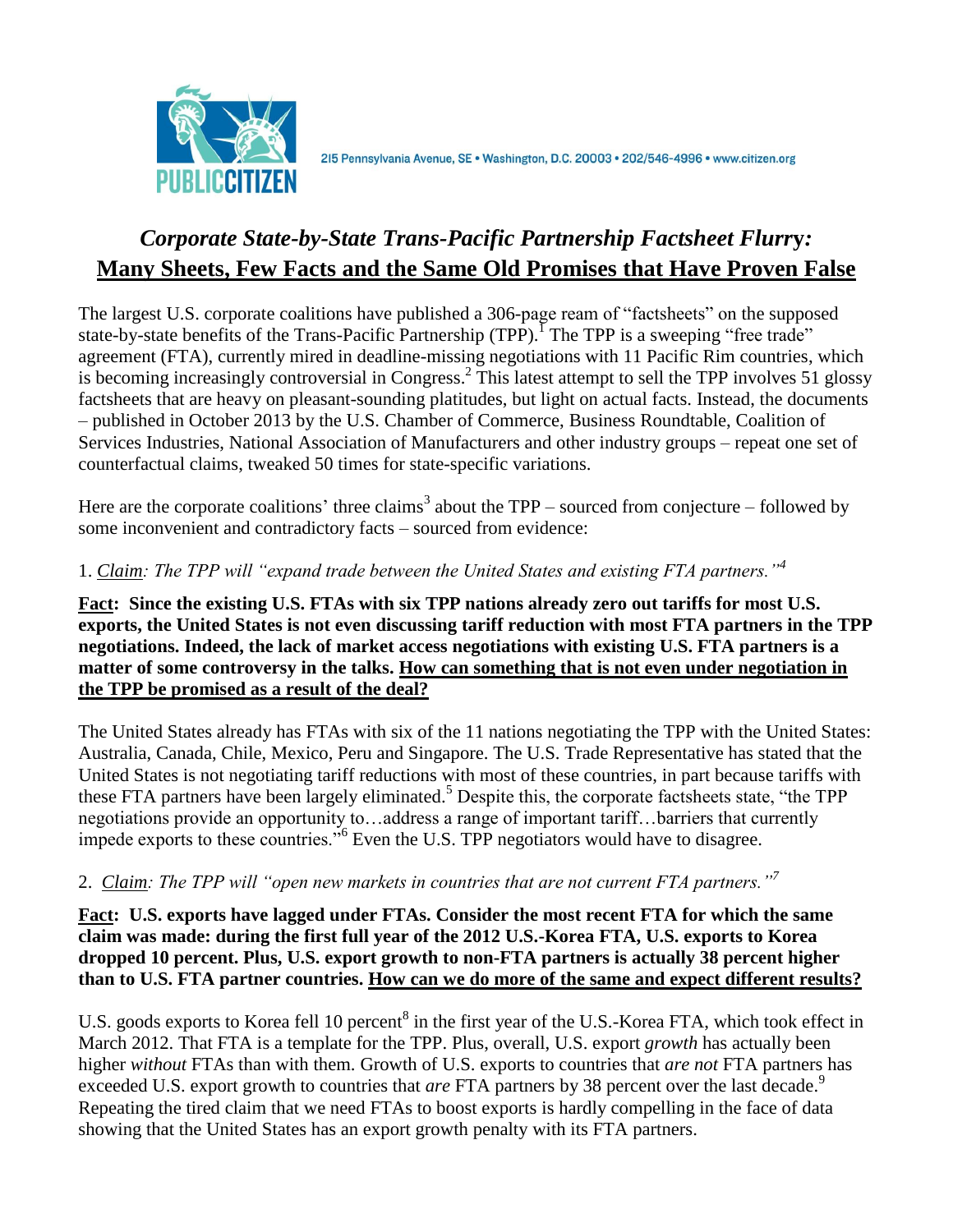

## *Corporate State-by-State Trans-Pacific Partnership Factsheet Flurr***y***:* **Many Sheets, Few Facts and the Same Old Promises that Have Proven False**

The largest U.S. corporate coalitions have published a 306-page ream of "factsheets" on the supposed state-by-state benefits of the Trans-Pacific Partnership (TPP).<sup>I</sup> The TPP is a sweeping "free trade" agreement (FTA), currently mired in deadline-missing negotiations with 11 Pacific Rim countries, which is becoming increasingly controversial in Congress.<sup>2</sup> This latest attempt to sell the TPP involves 51 glossy factsheets that are heavy on pleasant-sounding platitudes, but light on actual facts. Instead, the documents – published in October 2013 by the U.S. Chamber of Commerce, Business Roundtable, Coalition of Services Industries, National Association of Manufacturers and other industry groups – repeat one set of counterfactual claims, tweaked 50 times for state-specific variations.

Here are the corporate coalitions' three claims<sup>3</sup> about the  $TPP$  – sourced from conjecture – followed by some inconvenient and contradictory facts – sourced from evidence:

## 1. *Claim: The TPP will "expand trade between the United States and existing FTA partners."<sup>4</sup>*

**Fact: Since the existing U.S. FTAs with six TPP nations already zero out tariffs for most U.S. exports, the United States is not even discussing tariff reduction with most FTA partners in the TPP negotiations. Indeed, the lack of market access negotiations with existing U.S. FTA partners is a matter of some controversy in the talks. How can something that is not even under negotiation in the TPP be promised as a result of the deal?**

The United States already has FTAs with six of the 11 nations negotiating the TPP with the United States: Australia, Canada, Chile, Mexico, Peru and Singapore. The U.S. Trade Representative has stated that the United States is not negotiating tariff reductions with most of these countries, in part because tariffs with these FTA partners have been largely eliminated. <sup>5</sup> Despite this, the corporate factsheets state, "the TPP negotiations provide an opportunity to…address a range of important tariff…barriers that currently impede exports to these countries."<sup>6</sup> Even the U.S. TPP negotiators would have to disagree.

## 2. *Claim: The TPP will "open new markets in countries that are not current FTA partners."<sup>7</sup>*

**Fact: U.S. exports have lagged under FTAs. Consider the most recent FTA for which the same claim was made: during the first full year of the 2012 U.S.-Korea FTA, U.S. exports to Korea dropped 10 percent. Plus, U.S. export growth to non-FTA partners is actually 38 percent higher than to U.S. FTA partner countries. How can we do more of the same and expect different results?**

U.S. goods exports to Korea fell 10 percent<sup>8</sup> in the first year of the U.S.-Korea FTA, which took effect in March 2012. That FTA is a template for the TPP. Plus, overall, U.S. export *growth* has actually been higher *without* FTAs than with them. Growth of U.S. exports to countries that *are not* FTA partners has exceeded U.S. export growth to countries that *are* FTA partners by 38 percent over the last decade.<sup>9</sup> Repeating the tired claim that we need FTAs to boost exports is hardly compelling in the face of data showing that the United States has an export growth penalty with its FTA partners.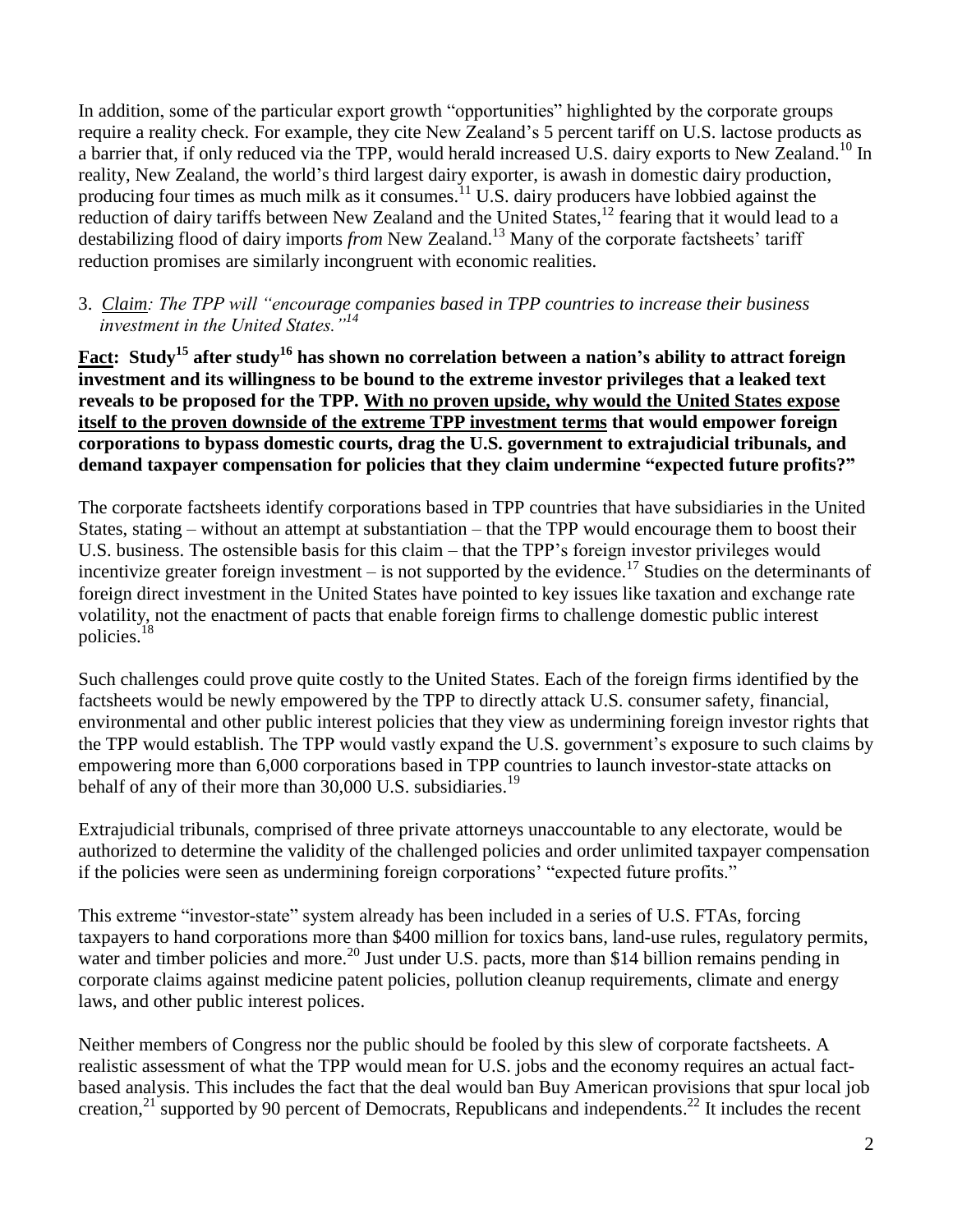In addition, some of the particular export growth "opportunities" highlighted by the corporate groups require a reality check. For example, they cite New Zealand's 5 percent tariff on U.S. lactose products as a barrier that, if only reduced via the TPP, would herald increased U.S. dairy exports to New Zealand.<sup>10</sup> In reality, New Zealand, the world's third largest dairy exporter, is awash in domestic dairy production, producing four times as much milk as it consumes.<sup>11</sup> U.S. dairy producers have lobbied against the reduction of dairy tariffs between New Zealand and the United States,  $^{12}$  fearing that it would lead to a destabilizing flood of dairy imports *from* New Zealand. <sup>13</sup> Many of the corporate factsheets' tariff reduction promises are similarly incongruent with economic realities.

3. *Claim: The TPP will "encourage companies based in TPP countries to increase their business investment in the United States."<sup>14</sup>*

**Fact: Study<sup>15</sup> after study<sup>16</sup> has shown no correlation between a nation's ability to attract foreign investment and its willingness to be bound to the extreme investor privileges that a leaked text reveals to be proposed for the TPP. With no proven upside, why would the United States expose itself to the proven downside of the extreme TPP investment terms that would empower foreign corporations to bypass domestic courts, drag the U.S. government to extrajudicial tribunals, and demand taxpayer compensation for policies that they claim undermine "expected future profits?"**

The corporate factsheets identify corporations based in TPP countries that have subsidiaries in the United States, stating – without an attempt at substantiation – that the TPP would encourage them to boost their U.S. business. The ostensible basis for this claim – that the TPP's foreign investor privileges would incentivize greater foreign investment  $-$  is not supported by the evidence.<sup>17</sup> Studies on the determinants of foreign direct investment in the United States have pointed to key issues like taxation and exchange rate volatility, not the enactment of pacts that enable foreign firms to challenge domestic public interest policies.<sup>18</sup>

Such challenges could prove quite costly to the United States. Each of the foreign firms identified by the factsheets would be newly empowered by the TPP to directly attack U.S. consumer safety, financial, environmental and other public interest policies that they view as undermining foreign investor rights that the TPP would establish. The TPP would vastly expand the U.S. government's exposure to such claims by empowering more than 6,000 corporations based in TPP countries to launch investor-state attacks on behalf of any of their more than 30,000 U.S. subsidiaries.<sup>19</sup>

Extrajudicial tribunals, comprised of three private attorneys unaccountable to any electorate, would be authorized to determine the validity of the challenged policies and order unlimited taxpayer compensation if the policies were seen as undermining foreign corporations' "expected future profits."

This extreme "investor-state" system already has been included in a series of U.S. FTAs, forcing taxpayers to hand corporations more than \$400 million for toxics bans, land-use rules, regulatory permits, water and timber policies and more.<sup>20</sup> Just under U.S. pacts, more than \$14 billion remains pending in corporate claims against medicine patent policies, pollution cleanup requirements, climate and energy laws, and other public interest polices.

Neither members of Congress nor the public should be fooled by this slew of corporate factsheets. A realistic assessment of what the TPP would mean for U.S. jobs and the economy requires an actual factbased analysis. This includes the fact that the deal would ban Buy American provisions that spur local job creation,  $21$  supported by 90 percent of Democrats, Republicans and independents.  $22$  It includes the recent